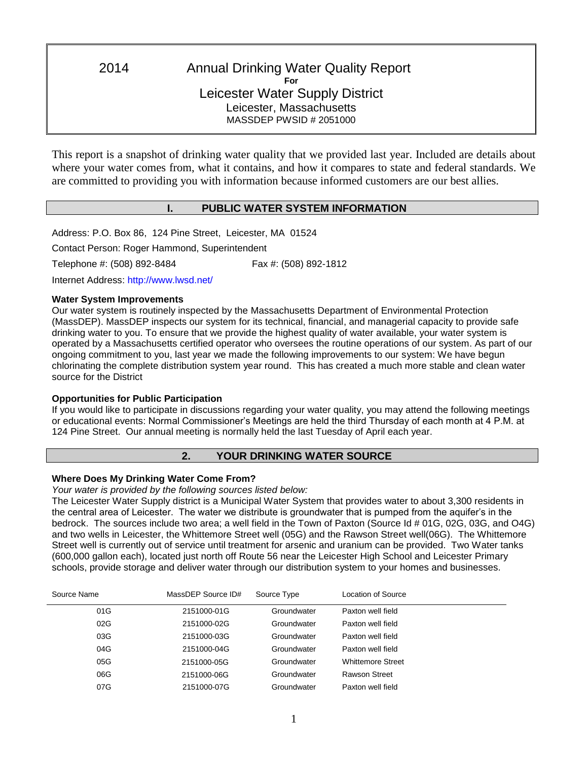# 2014 Annual Drinking Water Quality Report **For** Leicester Water Supply District Leicester, Massachusetts MASSDEP PWSID # 2051000

This report is a snapshot of drinking water quality that we provided last year. Included are details about where your water comes from, what it contains, and how it compares to state and federal standards. We are committed to providing you with information because informed customers are our best allies.

# **I. PUBLIC WATER SYSTEM INFORMATION**

Address: P.O. Box 86, 124 Pine Street, Leicester, MA 01524 Contact Person: Roger Hammond, Superintendent Telephone #: (508) 892-8484 Fax #: (508) 892-1812

Internet Address: http://www.lwsd.net/

# **Water System Improvements**

Our water system is routinely inspected by the Massachusetts Department of Environmental Protection (MassDEP). MassDEP inspects our system for its technical, financial, and managerial capacity to provide safe drinking water to you. To ensure that we provide the highest quality of water available, your water system is operated by a Massachusetts certified operator who oversees the routine operations of our system. As part of our ongoing commitment to you, last year we made the following improvements to our system: We have begun chlorinating the complete distribution system year round. This has created a much more stable and clean water source for the District

# **Opportunities for Public Participation**

If you would like to participate in discussions regarding your water quality, you may attend the following meetings or educational events: Normal Commissioner's Meetings are held the third Thursday of each month at 4 P.M. at 124 Pine Street. Our annual meeting is normally held the last Tuesday of April each year.

# **2. YOUR DRINKING WATER SOURCE**

# **Where Does My Drinking Water Come From?**

*Your water is provided by the following sources listed below:*

The Leicester Water Supply district is a Municipal Water System that provides water to about 3,300 residents in the central area of Leicester. The water we distribute is groundwater that is pumped from the aquifer's in the bedrock. The sources include two area; a well field in the Town of Paxton (Source Id # 01G, 02G, 03G, and O4G) and two wells in Leicester, the Whittemore Street well (05G) and the Rawson Street well(06G). The Whittemore Street well is currently out of service until treatment for arsenic and uranium can be provided. Two Water tanks (600,000 gallon each), located just north off Route 56 near the Leicester High School and Leicester Primary schools, provide storage and deliver water through our distribution system to your homes and businesses.

| Source Name | MassDEP Source ID# | Source Type | Location of Source       |
|-------------|--------------------|-------------|--------------------------|
| 01G         | 2151000-01G        | Groundwater | Paxton well field        |
| 02G         | 2151000-02G        | Groundwater | Paxton well field        |
| 03G         | 2151000-03G        | Groundwater | Paxton well field        |
| 04G         | 2151000-04G        | Groundwater | Paxton well field        |
| 05G         | 2151000-05G        | Groundwater | <b>Whittemore Street</b> |
| 06G         | 2151000-06G        | Groundwater | <b>Rawson Street</b>     |
| 07G         | 2151000-07G        | Groundwater | Paxton well field        |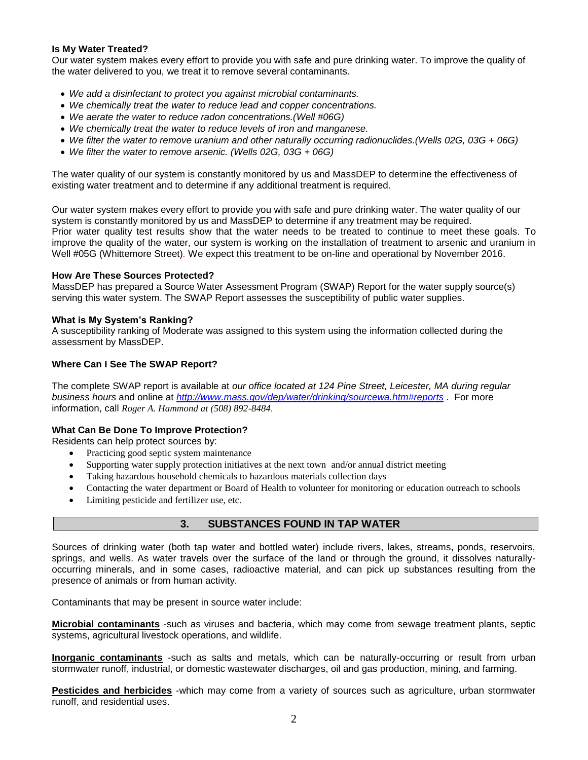## **Is My Water Treated?**

Our water system makes every effort to provide you with safe and pure drinking water. To improve the quality of the water delivered to you, we treat it to remove several contaminants.

- *We add a disinfectant to protect you against microbial contaminants.*
- *We chemically treat the water to reduce lead and copper concentrations.*
- *We aerate the water to reduce radon concentrations.(Well #06G)*
- *We chemically treat the water to reduce levels of iron and manganese.*
- *We filter the water to remove uranium and other naturally occurring radionuclides.(Wells 02G, 03G + 06G)*
- *We filter the water to remove arsenic. (Wells 02G, 03G + 06G)*

The water quality of our system is constantly monitored by us and MassDEP to determine the effectiveness of existing water treatment and to determine if any additional treatment is required.

Our water system makes every effort to provide you with safe and pure drinking water. The water quality of our system is constantly monitored by us and MassDEP to determine if any treatment may be required. Prior water quality test results show that the water needs to be treated to continue to meet these goals. To improve the quality of the water, our system is working on the installation of treatment to arsenic and uranium in Well #05G (Whittemore Street)*.* We expect this treatment to be on-line and operational by November 2016.

### **How Are These Sources Protected?**

MassDEP has prepared a Source Water Assessment Program (SWAP) Report for the water supply source(s) serving this water system. The SWAP Report assesses the susceptibility of public water supplies.

### **What is My System's Ranking?**

A susceptibility ranking of Moderate was assigned to this system using the information collected during the assessment by MassDEP.

# **Where Can I See The SWAP Report?**

The complete SWAP report is available at *our office located at 124 Pine Street, Leicester, MA during regular business hours* and online at *<http://www.mass.gov/dep/water/drinking/sourcewa.htm#reports>* . For more information, call *Roger A. Hammond at (508) 892-8484.*

### **What Can Be Done To Improve Protection?**

Residents can help protect sources by:

- Practicing good septic system maintenance
- Supporting water supply protection initiatives at the next town and/or annual district meeting
- Taking hazardous household chemicals to hazardous materials collection days
- Contacting the water department or Board of Health to volunteer for monitoring or education outreach to schools
- Limiting pesticide and fertilizer use, etc.

# **3. SUBSTANCES FOUND IN TAP WATER**

Sources of drinking water (both tap water and bottled water) include rivers, lakes, streams, ponds, reservoirs, springs, and wells. As water travels over the surface of the land or through the ground, it dissolves naturallyoccurring minerals, and in some cases, radioactive material, and can pick up substances resulting from the presence of animals or from human activity.

Contaminants that may be present in source water include:

**Microbial contaminants** -such as viruses and bacteria, which may come from sewage treatment plants, septic systems, agricultural livestock operations, and wildlife.

**Inorganic contaminants** -such as salts and metals, which can be naturally-occurring or result from urban stormwater runoff, industrial, or domestic wastewater discharges, oil and gas production, mining, and farming.

**Pesticides and herbicides** -which may come from a variety of sources such as agriculture, urban stormwater runoff, and residential uses.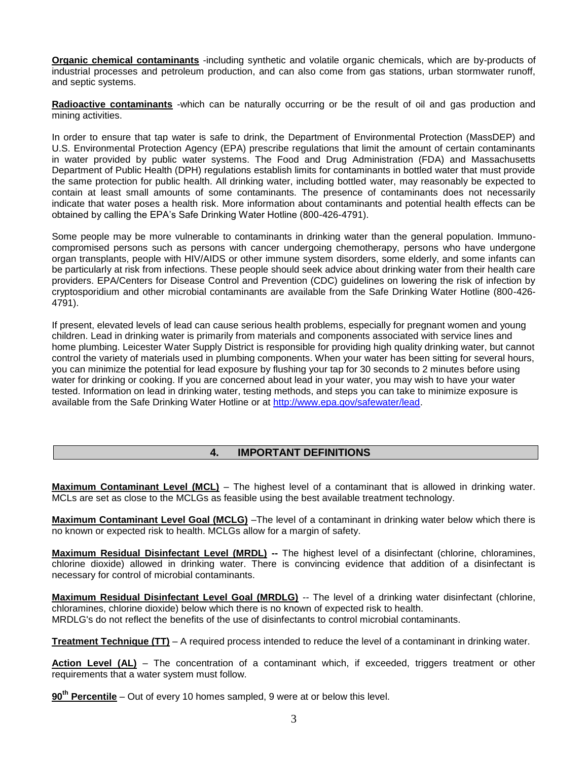**Organic chemical contaminants** -including synthetic and volatile organic chemicals, which are by-products of industrial processes and petroleum production, and can also come from gas stations, urban stormwater runoff, and septic systems.

**Radioactive contaminants** -which can be naturally occurring or be the result of oil and gas production and mining activities.

In order to ensure that tap water is safe to drink, the Department of Environmental Protection (MassDEP) and U.S. Environmental Protection Agency (EPA) prescribe regulations that limit the amount of certain contaminants in water provided by public water systems. The Food and Drug Administration (FDA) and Massachusetts Department of Public Health (DPH) regulations establish limits for contaminants in bottled water that must provide the same protection for public health. All drinking water, including bottled water, may reasonably be expected to contain at least small amounts of some contaminants. The presence of contaminants does not necessarily indicate that water poses a health risk. More information about contaminants and potential health effects can be obtained by calling the EPA's Safe Drinking Water Hotline (800-426-4791).

Some people may be more vulnerable to contaminants in drinking water than the general population. Immunocompromised persons such as persons with cancer undergoing chemotherapy, persons who have undergone organ transplants, people with HIV/AIDS or other immune system disorders, some elderly, and some infants can be particularly at risk from infections. These people should seek advice about drinking water from their health care providers. EPA/Centers for Disease Control and Prevention (CDC) guidelines on lowering the risk of infection by cryptosporidium and other microbial contaminants are available from the Safe Drinking Water Hotline (800-426- 4791).

If present, elevated levels of lead can cause serious health problems, especially for pregnant women and young children. Lead in drinking water is primarily from materials and components associated with service lines and home plumbing. Leicester Water Supply District is responsible for providing high quality drinking water, but cannot control the variety of materials used in plumbing components. When your water has been sitting for several hours, you can minimize the potential for lead exposure by flushing your tap for 30 seconds to 2 minutes before using water for drinking or cooking. If you are concerned about lead in your water, you may wish to have your water tested. Information on lead in drinking water, testing methods, and steps you can take to minimize exposure is available from the Safe Drinking Water Hotline or at [http://www.epa.gov/safewater/lead.](http://www.epa.gov/safewater/lead)

# **4. IMPORTANT DEFINITIONS**

**Maximum Contaminant Level (MCL)** – The highest level of a contaminant that is allowed in drinking water. MCLs are set as close to the MCLGs as feasible using the best available treatment technology.

**Maximum Contaminant Level Goal (MCLG)** –The level of a contaminant in drinking water below which there is no known or expected risk to health. MCLGs allow for a margin of safety.

**Maximum Residual Disinfectant Level (MRDL) --** The highest level of a disinfectant (chlorine, chloramines, chlorine dioxide) allowed in drinking water. There is convincing evidence that addition of a disinfectant is necessary for control of microbial contaminants.

**Maximum Residual Disinfectant Level Goal (MRDLG)** -- The level of a drinking water disinfectant (chlorine, chloramines, chlorine dioxide) below which there is no known of expected risk to health. MRDLG's do not reflect the benefits of the use of disinfectants to control microbial contaminants.

**Treatment Technique (TT)** – A required process intended to reduce the level of a contaminant in drinking water.

Action Level (AL) - The concentration of a contaminant which, if exceeded, triggers treatment or other requirements that a water system must follow.

**90th Percentile** – Out of every 10 homes sampled, 9 were at or below this level.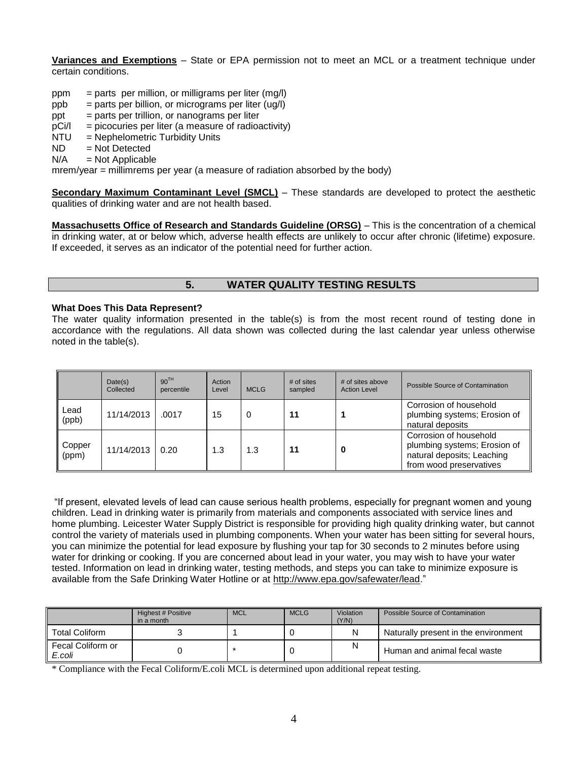**Variances and Exemptions** – State or EPA permission not to meet an MCL or a treatment technique under certain conditions.

- ppm = parts per million, or milligrams per liter  $(mg/l)$
- $ppb = parts per billion$ , or micrograms per liter (ug/l)
- $ppt = parts per trillion, or nanograms per liter$
- $pCi/1$  = picocuries per liter (a measure of radioactivity)
- NTU = Nephelometric Turbidity Units
- ND = Not Detected
- $N/A$  = Not Applicable

mrem/year = millimrems per year (a measure of radiation absorbed by the body)

**Secondary Maximum Contaminant Level (SMCL)** – These standards are developed to protect the aesthetic qualities of drinking water and are not health based.

**Massachusetts Office of Research and Standards Guideline (ORSG)** – This is the concentration of a chemical in drinking water, at or below which, adverse health effects are unlikely to occur after chronic (lifetime) exposure. If exceeded, it serves as an indicator of the potential need for further action.

# **5. WATER QUALITY TESTING RESULTS**

#### **What Does This Data Represent?**

The water quality information presented in the table(s) is from the most recent round of testing done in accordance with the regulations. All data shown was collected during the last calendar year unless otherwise noted in the table(s).

|                 | Date(s)<br>Collected | 90 <sup>TH</sup><br>percentile | Action<br>Level | <b>MCLG</b> | # of sites<br>sampled | # of sites above<br><b>Action Level</b> | Possible Source of Contamination                                                                                |
|-----------------|----------------------|--------------------------------|-----------------|-------------|-----------------------|-----------------------------------------|-----------------------------------------------------------------------------------------------------------------|
| Lead<br>(ppb)   | 11/14/2013           | .0017                          | 15              | 0           | 11                    |                                         | Corrosion of household<br>plumbing systems; Erosion of<br>natural deposits                                      |
| Copper<br>(ppm) | 11/14/2013           | 0.20                           | 1.3             | 1.3         | 11                    |                                         | Corrosion of household<br>plumbing systems; Erosion of<br>natural deposits; Leaching<br>from wood preservatives |

"If present, elevated levels of lead can cause serious health problems, especially for pregnant women and young children. Lead in drinking water is primarily from materials and components associated with service lines and home plumbing. Leicester Water Supply District is responsible for providing high quality drinking water, but cannot control the variety of materials used in plumbing components. When your water has been sitting for several hours, you can minimize the potential for lead exposure by flushing your tap for 30 seconds to 2 minutes before using water for drinking or cooking. If you are concerned about lead in your water, you may wish to have your water tested. Information on lead in drinking water, testing methods, and steps you can take to minimize exposure is available from the Safe Drinking Water Hotline or at [http://www.epa.gov/safewater/lead.](http://www.epa.gov/safewater/lead)"

|                             | <b>Highest # Positive</b><br>in a month | <b>MCL</b> | <b>MCLG</b> | Violation<br>(Y/N) | Possible Source of Contamination     |
|-----------------------------|-----------------------------------------|------------|-------------|--------------------|--------------------------------------|
| Total Coliform              |                                         |            |             | N                  | Naturally present in the environment |
| Fecal Coliform or<br>E.coli |                                         |            |             | N                  | Human and animal fecal waste         |

\* Compliance with the Fecal Coliform/E.coli MCL is determined upon additional repeat testing.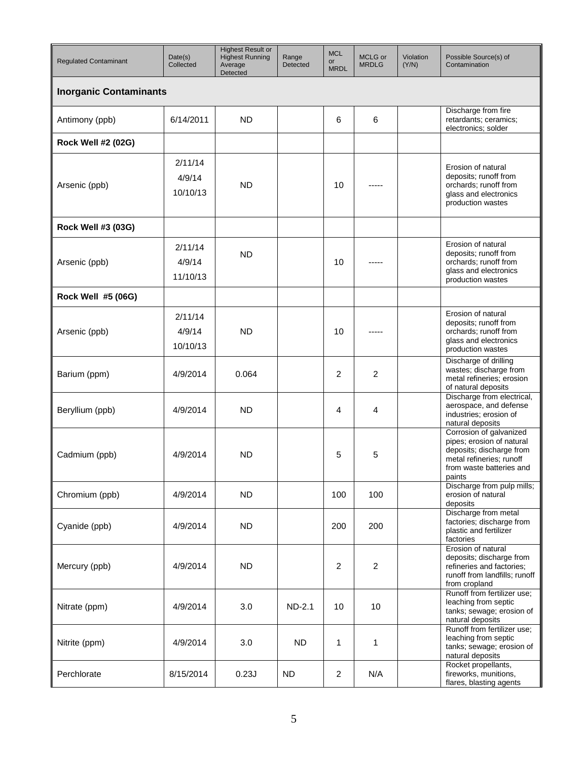| <b>Regulated Contaminant</b>  | Date(s)<br>Collected          | <b>Highest Result or</b><br><b>Highest Running</b><br>Average<br>Detected | Range<br>Detected | <b>MCL</b><br><b>or</b><br><b>MRDL</b> | MCLG or<br><b>MRDLG</b> | Violation<br>(Y/N) | Possible Source(s) of<br>Contamination                                                                                                             |  |  |
|-------------------------------|-------------------------------|---------------------------------------------------------------------------|-------------------|----------------------------------------|-------------------------|--------------------|----------------------------------------------------------------------------------------------------------------------------------------------------|--|--|
| <b>Inorganic Contaminants</b> |                               |                                                                           |                   |                                        |                         |                    |                                                                                                                                                    |  |  |
| Antimony (ppb)                | 6/14/2011                     | <b>ND</b>                                                                 |                   | 6                                      | 6                       |                    | Discharge from fire<br>retardants; ceramics;<br>electronics; solder                                                                                |  |  |
| <b>Rock Well #2 (02G)</b>     |                               |                                                                           |                   |                                        |                         |                    |                                                                                                                                                    |  |  |
| Arsenic (ppb)                 | 2/11/14<br>4/9/14<br>10/10/13 | <b>ND</b>                                                                 |                   | 10                                     |                         |                    | Erosion of natural<br>deposits; runoff from<br>orchards; runoff from<br>glass and electronics<br>production wastes                                 |  |  |
| <b>Rock Well #3 (03G)</b>     |                               |                                                                           |                   |                                        |                         |                    |                                                                                                                                                    |  |  |
| Arsenic (ppb)                 | 2/11/14<br>4/9/14<br>11/10/13 | <b>ND</b>                                                                 |                   | 10                                     |                         |                    | Erosion of natural<br>deposits; runoff from<br>orchards; runoff from<br>glass and electronics<br>production wastes                                 |  |  |
| <b>Rock Well #5 (06G)</b>     |                               |                                                                           |                   |                                        |                         |                    |                                                                                                                                                    |  |  |
| Arsenic (ppb)                 | 2/11/14<br>4/9/14<br>10/10/13 | <b>ND</b>                                                                 |                   | 10                                     |                         |                    | Erosion of natural<br>deposits; runoff from<br>orchards; runoff from<br>glass and electronics<br>production wastes                                 |  |  |
| Barium (ppm)                  | 4/9/2014                      | 0.064                                                                     |                   | 2                                      | $\overline{2}$          |                    | Discharge of drilling<br>wastes; discharge from<br>metal refineries; erosion<br>of natural deposits                                                |  |  |
| Beryllium (ppb)               | 4/9/2014                      | <b>ND</b>                                                                 |                   | 4                                      | 4                       |                    | Discharge from electrical,<br>aerospace, and defense<br>industries; erosion of<br>natural deposits                                                 |  |  |
| Cadmium (ppb)                 | 4/9/2014                      | <b>ND</b>                                                                 |                   | 5                                      | 5                       |                    | Corrosion of galvanized<br>pipes; erosion of natural<br>deposits; discharge from<br>metal refineries; runoff<br>from waste batteries and<br>paints |  |  |
| Chromium (ppb)                | 4/9/2014                      | <b>ND</b>                                                                 |                   | 100                                    | 100                     |                    | Discharge from pulp mills;<br>erosion of natural<br>deposits                                                                                       |  |  |
| Cyanide (ppb)                 | 4/9/2014                      | <b>ND</b>                                                                 |                   | 200                                    | 200                     |                    | Discharge from metal<br>factories; discharge from<br>plastic and fertilizer<br>factories                                                           |  |  |
| Mercury (ppb)                 | 4/9/2014                      | <b>ND</b>                                                                 |                   | $\overline{2}$                         | $\overline{c}$          |                    | Erosion of natural<br>deposits; discharge from<br>refineries and factories;<br>runoff from landfills; runoff<br>from cropland                      |  |  |
| Nitrate (ppm)                 | 4/9/2014                      | 3.0                                                                       | ND-2.1            | 10                                     | 10                      |                    | Runoff from fertilizer use;<br>leaching from septic<br>tanks; sewage; erosion of<br>natural deposits                                               |  |  |
| Nitrite (ppm)                 | 4/9/2014                      | 3.0                                                                       | <b>ND</b>         | 1                                      | 1                       |                    | Runoff from fertilizer use;<br>leaching from septic<br>tanks; sewage; erosion of<br>natural deposits                                               |  |  |
| Perchlorate                   | 8/15/2014                     | 0.23J                                                                     | <b>ND</b>         | $\overline{c}$                         | N/A                     |                    | Rocket propellants,<br>fireworks, munitions,<br>flares, blasting agents                                                                            |  |  |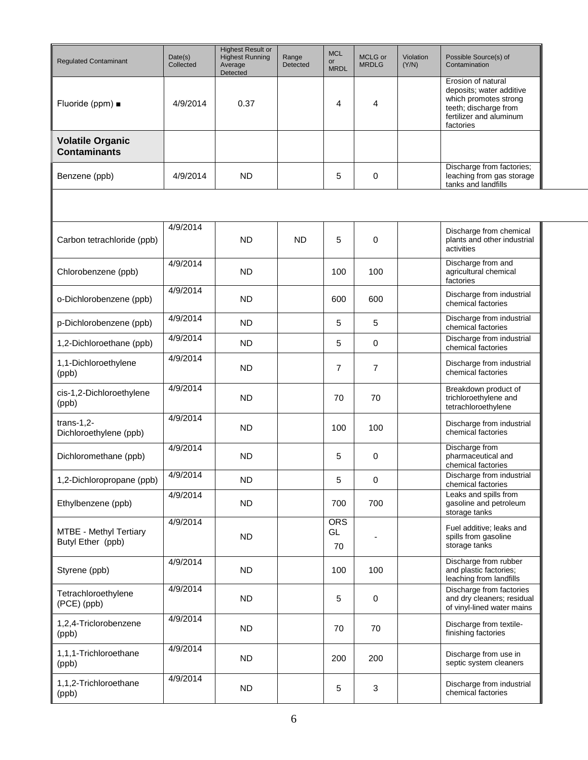| <b>Regulated Contaminant</b>                   | Date(s)<br>Collected | <b>Highest Result or</b><br><b>Highest Running</b><br>Average<br>Detected | Range<br><b>Detected</b> | <b>MCL</b><br>or<br><b>MRDL</b> | MCLG or<br><b>MRDLG</b> | Violation<br>(Y/N) | Possible Source(s) of<br>Contamination                                                                                                   |
|------------------------------------------------|----------------------|---------------------------------------------------------------------------|--------------------------|---------------------------------|-------------------------|--------------------|------------------------------------------------------------------------------------------------------------------------------------------|
| Fluoride (ppm) $\blacksquare$                  | 4/9/2014             | 0.37                                                                      |                          | 4                               | 4                       |                    | Erosion of natural<br>deposits; water additive<br>which promotes strong<br>teeth; discharge from<br>fertilizer and aluminum<br>factories |
| <b>Volatile Organic</b><br><b>Contaminants</b> |                      |                                                                           |                          |                                 |                         |                    |                                                                                                                                          |
| Benzene (ppb)                                  | 4/9/2014             | <b>ND</b>                                                                 |                          | 5                               | 0                       |                    | Discharge from factories;<br>leaching from gas storage<br>tanks and landfills                                                            |
|                                                |                      |                                                                           |                          |                                 |                         |                    |                                                                                                                                          |
| Carbon tetrachloride (ppb)                     | 4/9/2014             | <b>ND</b>                                                                 | <b>ND</b>                | 5                               | 0                       |                    | Discharge from chemical<br>plants and other industrial<br>activities                                                                     |
| Chlorobenzene (ppb)                            | 4/9/2014             | <b>ND</b>                                                                 |                          | 100                             | 100                     |                    | Discharge from and<br>agricultural chemical<br>factories                                                                                 |
| o-Dichlorobenzene (ppb)                        | 4/9/2014             | ND                                                                        |                          | 600                             | 600                     |                    | Discharge from industrial<br>chemical factories                                                                                          |
| p-Dichlorobenzene (ppb)                        | 4/9/2014             | <b>ND</b>                                                                 |                          | 5                               | 5                       |                    | Discharge from industrial<br>chemical factories                                                                                          |
| 1,2-Dichloroethane (ppb)                       | 4/9/2014             | <b>ND</b>                                                                 |                          | 5                               | $\mathbf 0$             |                    | Discharge from industrial<br>chemical factories                                                                                          |
| 1,1-Dichloroethylene<br>(ppb)                  | 4/9/2014             | <b>ND</b>                                                                 |                          | $\overline{7}$                  | 7                       |                    | Discharge from industrial<br>chemical factories                                                                                          |
| cis-1,2-Dichloroethylene<br>(ppb)              | 4/9/2014             | <b>ND</b>                                                                 |                          | 70                              | 70                      |                    | Breakdown product of<br>trichloroethylene and<br>tetrachloroethylene                                                                     |
| $trans-1,2-$<br>Dichloroethylene (ppb)         | 4/9/2014             | <b>ND</b>                                                                 |                          | 100                             | 100                     |                    | Discharge from industrial<br>chemical factories                                                                                          |
| Dichloromethane (ppb)                          | 4/9/2014             | <b>ND</b>                                                                 |                          | 5                               | 0                       |                    | Discharge from<br>pharmaceutical and<br>chemical factories                                                                               |
| 1,2-Dichloropropane (ppb)                      | 4/9/2014             | <b>ND</b>                                                                 |                          | 5                               | 0                       |                    | Discharge from industrial<br>chemical factories                                                                                          |
| Ethylbenzene (ppb)                             | 4/9/2014             | <b>ND</b>                                                                 |                          | 700                             | 700                     |                    | Leaks and spills from<br>gasoline and petroleum<br>storage tanks                                                                         |
| MTBE - Methyl Tertiary<br>Butyl Ether (ppb)    | 4/9/2014             | <b>ND</b>                                                                 |                          | <b>ORS</b><br>GL<br>70          |                         |                    | Fuel additive; leaks and<br>spills from gasoline<br>storage tanks                                                                        |
| Styrene (ppb)                                  | 4/9/2014             | <b>ND</b>                                                                 |                          | 100                             | 100                     |                    | Discharge from rubber<br>and plastic factories;<br>leaching from landfills                                                               |
| Tetrachloroethylene<br>(PCE) (ppb)             | 4/9/2014             | <b>ND</b>                                                                 |                          | 5                               | $\mathbf 0$             |                    | Discharge from factories<br>and dry cleaners; residual<br>of vinyl-lined water mains                                                     |
| 1,2,4-Triclorobenzene<br>(ppb)                 | 4/9/2014             | <b>ND</b>                                                                 |                          | 70                              | 70                      |                    | Discharge from textile-<br>finishing factories                                                                                           |
| 1,1,1-Trichloroethane<br>(ppb)                 | 4/9/2014             | <b>ND</b>                                                                 |                          | 200                             | 200                     |                    | Discharge from use in<br>septic system cleaners                                                                                          |
| 1,1,2-Trichloroethane<br>(ppb)                 | 4/9/2014             | <b>ND</b>                                                                 |                          | 5                               | 3                       |                    | Discharge from industrial<br>chemical factories                                                                                          |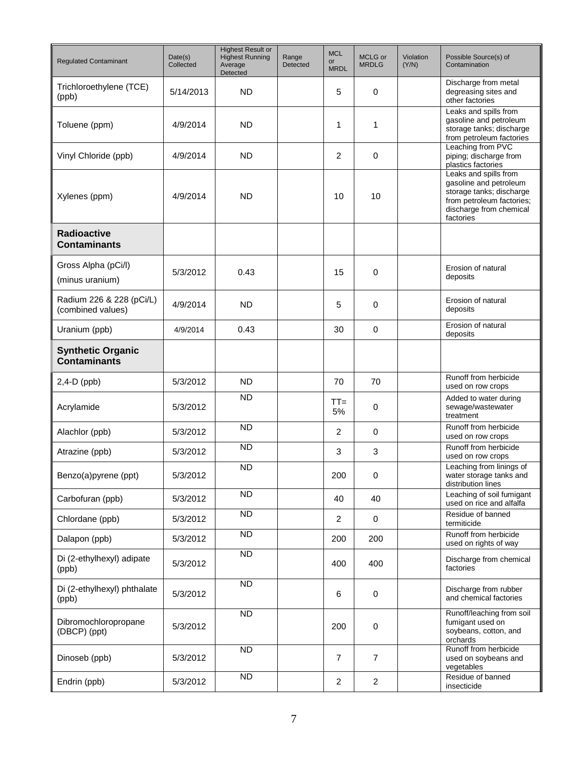| <b>Regulated Contaminant</b>                    | Date(s)<br>Collected | <b>Highest Result or</b><br><b>Highest Running</b><br>Average<br>Detected | Range<br>Detected | <b>MCL</b><br><b>or</b><br><b>MRDL</b> | MCLG or<br><b>MRDLG</b> | Violation<br>(Y/N) | Possible Source(s) of<br>Contamination                                                                                                           |
|-------------------------------------------------|----------------------|---------------------------------------------------------------------------|-------------------|----------------------------------------|-------------------------|--------------------|--------------------------------------------------------------------------------------------------------------------------------------------------|
| Trichloroethylene (TCE)<br>(ppb)                | 5/14/2013            | <b>ND</b>                                                                 |                   | 5                                      | 0                       |                    | Discharge from metal<br>degreasing sites and<br>other factories                                                                                  |
| Toluene (ppm)                                   | 4/9/2014             | <b>ND</b>                                                                 |                   | 1                                      | 1                       |                    | Leaks and spills from<br>gasoline and petroleum<br>storage tanks; discharge<br>from petroleum factories                                          |
| Vinyl Chloride (ppb)                            | 4/9/2014             | <b>ND</b>                                                                 |                   | 2                                      | 0                       |                    | Leaching from PVC<br>piping; discharge from<br>plastics factories                                                                                |
| Xylenes (ppm)                                   | 4/9/2014             | <b>ND</b>                                                                 |                   | 10                                     | 10                      |                    | Leaks and spills from<br>gasoline and petroleum<br>storage tanks; discharge<br>from petroleum factories;<br>discharge from chemical<br>factories |
| Radioactive<br><b>Contaminants</b>              |                      |                                                                           |                   |                                        |                         |                    |                                                                                                                                                  |
| Gross Alpha (pCi/l)<br>(minus uranium)          | 5/3/2012             | 0.43                                                                      |                   | 15                                     | 0                       |                    | Erosion of natural<br>deposits                                                                                                                   |
| Radium 226 & 228 (pCi/L)<br>(combined values)   | 4/9/2014             | <b>ND</b>                                                                 |                   | 5                                      | 0                       |                    | Erosion of natural<br>deposits                                                                                                                   |
| Uranium (ppb)                                   | 4/9/2014             | 0.43                                                                      |                   | 30                                     | 0                       |                    | Erosion of natural<br>deposits                                                                                                                   |
| <b>Synthetic Organic</b><br><b>Contaminants</b> |                      |                                                                           |                   |                                        |                         |                    |                                                                                                                                                  |
| $2,4-D$ (ppb)                                   | 5/3/2012             | <b>ND</b>                                                                 |                   | 70                                     | 70                      |                    | Runoff from herbicide<br>used on row crops                                                                                                       |
| Acrylamide                                      | 5/3/2012             | <b>ND</b>                                                                 |                   | $TT =$<br>5%                           | 0                       |                    | Added to water during<br>sewage/wastewater<br>treatment                                                                                          |
| Alachlor (ppb)                                  | 5/3/2012             | <b>ND</b>                                                                 |                   | $\overline{2}$                         | $\mathbf 0$             |                    | Runoff from herbicide<br>used on row crops                                                                                                       |
| Atrazine (ppb)                                  | 5/3/2012             | <b>ND</b>                                                                 |                   | 3                                      | 3                       |                    | Runoff from herbicide<br>used on row crops                                                                                                       |
| Benzo(a)pyrene (ppt)                            | 5/3/2012             | <b>ND</b>                                                                 |                   | 200                                    | 0                       |                    | Leaching from linings of<br>water storage tanks and<br>distribution lines                                                                        |
| Carbofuran (ppb)                                | 5/3/2012             | <b>ND</b>                                                                 |                   | 40                                     | 40                      |                    | Leaching of soil fumigant<br>used on rice and alfalfa                                                                                            |
| Chlordane (ppb)                                 | 5/3/2012             | $\overline{ND}$                                                           |                   | 2                                      | $\mathbf 0$             |                    | Residue of banned<br>termiticide                                                                                                                 |
| Dalapon (ppb)                                   | 5/3/2012             | <b>ND</b>                                                                 |                   | 200                                    | 200                     |                    | Runoff from herbicide<br>used on rights of way                                                                                                   |
| Di (2-ethylhexyl) adipate<br>(ppb)              | 5/3/2012             | $\overline{ND}$                                                           |                   | 400                                    | 400                     |                    | Discharge from chemical<br>factories                                                                                                             |
| Di (2-ethylhexyl) phthalate<br>(ppb)            | 5/3/2012             | $\overline{ND}$                                                           |                   | 6                                      | $\mathbf 0$             |                    | Discharge from rubber<br>and chemical factories                                                                                                  |
| Dibromochloropropane<br>(DBCP) (ppt)            | 5/3/2012             | $\overline{ND}$                                                           |                   | 200                                    | 0                       |                    | Runoff/leaching from soil<br>fumigant used on<br>soybeans, cotton, and<br>orchards                                                               |
| Dinoseb (ppb)                                   | 5/3/2012             | <b>ND</b>                                                                 |                   | $\overline{7}$                         | $\overline{7}$          |                    | Runoff from herbicide<br>used on soybeans and<br>vegetables                                                                                      |
| Endrin (ppb)                                    | 5/3/2012             | <b>ND</b>                                                                 |                   | $\overline{c}$                         | $\overline{c}$          |                    | Residue of banned<br>insecticide                                                                                                                 |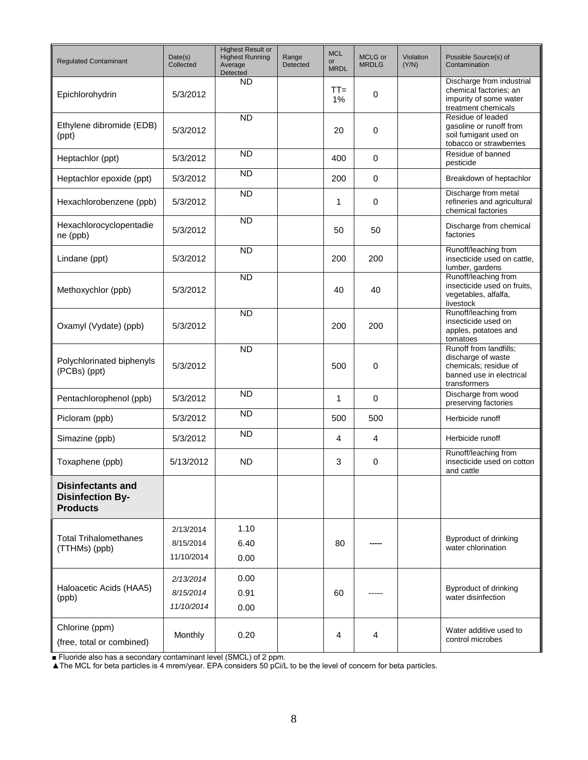| <b>Regulated Contaminant</b>                                           | Date(s)<br>Collected                 | <b>Highest Result or</b><br><b>Highest Running</b><br>Average<br>Detected | Range<br>Detected | <b>MCL</b><br>or<br><b>MRDL</b> | MCLG or<br><b>MRDLG</b> | <b>Violation</b><br>(Y/N) | Possible Source(s) of<br>Contamination                                                                            |
|------------------------------------------------------------------------|--------------------------------------|---------------------------------------------------------------------------|-------------------|---------------------------------|-------------------------|---------------------------|-------------------------------------------------------------------------------------------------------------------|
| Epichlorohydrin                                                        | 5/3/2012                             | <b>ND</b>                                                                 |                   | $TT =$<br>1%                    | 0                       |                           | Discharge from industrial<br>chemical factories; an<br>impurity of some water<br>treatment chemicals              |
| Ethylene dibromide (EDB)<br>(ppt)                                      | 5/3/2012                             | <b>ND</b>                                                                 |                   | 20                              | 0                       |                           | Residue of leaded<br>gasoline or runoff from<br>soil fumigant used on<br>tobacco or strawberries                  |
| Heptachlor (ppt)                                                       | 5/3/2012                             | <b>ND</b>                                                                 |                   | 400                             | 0                       |                           | Residue of banned<br>pesticide                                                                                    |
| Heptachlor epoxide (ppt)                                               | 5/3/2012                             | $\overline{ND}$                                                           |                   | 200                             | 0                       |                           | Breakdown of heptachlor                                                                                           |
| Hexachlorobenzene (ppb)                                                | 5/3/2012                             | <b>ND</b>                                                                 |                   | 1                               | 0                       |                           | Discharge from metal<br>refineries and agricultural<br>chemical factories                                         |
| Hexachlorocyclopentadie<br>ne (ppb)                                    | 5/3/2012                             | $\overline{ND}$                                                           |                   | 50                              | 50                      |                           | Discharge from chemical<br>factories                                                                              |
| Lindane (ppt)                                                          | 5/3/2012                             | <b>ND</b>                                                                 |                   | 200                             | 200                     |                           | Runoff/leaching from<br>insecticide used on cattle,<br>lumber, gardens                                            |
| Methoxychlor (ppb)                                                     | 5/3/2012                             | <b>ND</b>                                                                 |                   | 40                              | 40                      |                           | Runoff/leaching from<br>insecticide used on fruits.<br>vegetables, alfalfa,<br>livestock                          |
| Oxamyl (Vydate) (ppb)                                                  | 5/3/2012                             | <b>ND</b>                                                                 |                   | 200                             | 200                     |                           | Runoff/leaching from<br>insecticide used on<br>apples, potatoes and<br>tomatoes                                   |
| Polychlorinated biphenyls<br>(PCBs) (ppt)                              | 5/3/2012                             | <b>ND</b>                                                                 |                   | 500                             | 0                       |                           | Runoff from landfills;<br>discharge of waste<br>chemicals; residue of<br>banned use in electrical<br>transformers |
| Pentachlorophenol (ppb)                                                | 5/3/2012                             | <b>ND</b>                                                                 |                   | 1                               | $\mathbf 0$             |                           | Discharge from wood<br>preserving factories                                                                       |
| Picloram (ppb)                                                         | 5/3/2012                             | <b>ND</b>                                                                 |                   | 500                             | 500                     |                           | Herbicide runoff                                                                                                  |
| Simazine (ppb)                                                         | 5/3/2012                             | <b>ND</b>                                                                 |                   | 4                               | 4                       |                           | Herbicide runoff                                                                                                  |
| Toxaphene (ppb)                                                        | 5/13/2012                            | <b>ND</b>                                                                 |                   | 3                               | 0                       |                           | Runoff/leaching from<br>insecticide used on cotton<br>and cattle                                                  |
| <b>Disinfectants and</b><br><b>Disinfection By-</b><br><b>Products</b> |                                      |                                                                           |                   |                                 |                         |                           |                                                                                                                   |
| <b>Total Trihalomethanes</b><br>(TTHMs) (ppb)                          | 2/13/2014<br>8/15/2014<br>11/10/2014 | 1.10<br>6.40<br>0.00                                                      |                   | 80                              |                         |                           | Byproduct of drinking<br>water chlorination                                                                       |
| Haloacetic Acids (HAA5)<br>(ppb)                                       | 2/13/2014<br>8/15/2014<br>11/10/2014 | 0.00<br>0.91<br>0.00                                                      |                   | 60                              |                         |                           | Byproduct of drinking<br>water disinfection                                                                       |
| Chlorine (ppm)<br>(free, total or combined)                            | Monthly                              | 0.20                                                                      |                   | 4                               | 4                       |                           | Water additive used to<br>control microbes                                                                        |

■ Fluoride also has a secondary contaminant level (SMCL) of 2 ppm.

▲The MCL for beta particles is 4 mrem/year. EPA considers 50 pCi/L to be the level of concern for beta particles.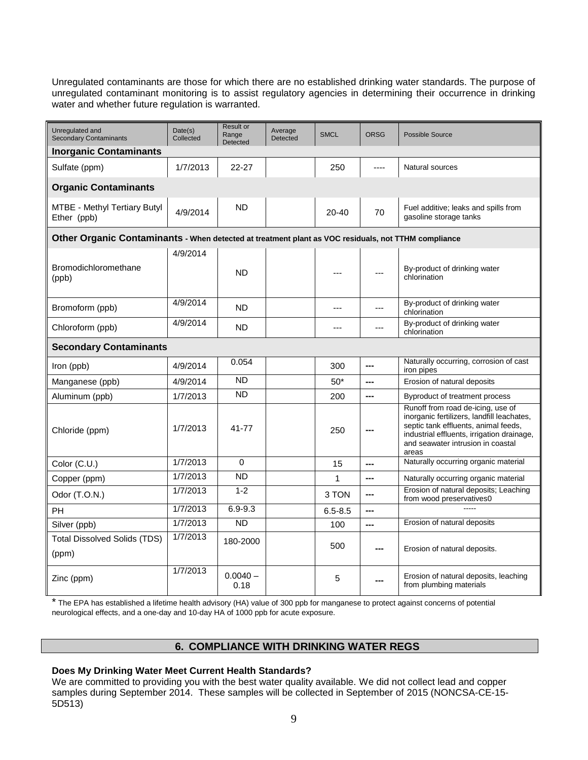Unregulated contaminants are those for which there are no established drinking water standards. The purpose of unregulated contaminant monitoring is to assist regulatory agencies in determining their occurrence in drinking water and whether future regulation is warranted.

| Unregulated and                                                                                     | Date(s)   | Result or                | Average  |             |                |                                                                                                                                                                                                                     |  |  |
|-----------------------------------------------------------------------------------------------------|-----------|--------------------------|----------|-------------|----------------|---------------------------------------------------------------------------------------------------------------------------------------------------------------------------------------------------------------------|--|--|
| <b>Secondary Contaminants</b>                                                                       | Collected | Range<br><b>Detected</b> | Detected | <b>SMCL</b> | <b>ORSG</b>    | Possible Source                                                                                                                                                                                                     |  |  |
| <b>Inorganic Contaminants</b>                                                                       |           |                          |          |             |                |                                                                                                                                                                                                                     |  |  |
| Sulfate (ppm)                                                                                       | 1/7/2013  | 22-27                    |          | 250         |                | Natural sources                                                                                                                                                                                                     |  |  |
| <b>Organic Contaminants</b>                                                                         |           |                          |          |             |                |                                                                                                                                                                                                                     |  |  |
| MTBE - Methyl Tertiary Butyl<br>Ether (ppb)                                                         | 4/9/2014  | <b>ND</b>                |          | 20-40       | 70             | Fuel additive; leaks and spills from<br>gasoline storage tanks                                                                                                                                                      |  |  |
| Other Organic Contaminants - When detected at treatment plant as VOC residuals, not TTHM compliance |           |                          |          |             |                |                                                                                                                                                                                                                     |  |  |
|                                                                                                     | 4/9/2014  |                          |          |             |                |                                                                                                                                                                                                                     |  |  |
| Bromodichloromethane<br>(ppb)                                                                       |           | <b>ND</b>                |          |             |                | By-product of drinking water<br>chlorination                                                                                                                                                                        |  |  |
| Bromoform (ppb)                                                                                     | 4/9/2014  | <b>ND</b>                |          |             | ---            | By-product of drinking water<br>chlorination                                                                                                                                                                        |  |  |
| Chloroform (ppb)                                                                                    | 4/9/2014  | <b>ND</b>                |          | $- - -$     | ---            | By-product of drinking water<br>chlorination                                                                                                                                                                        |  |  |
| <b>Secondary Contaminants</b>                                                                       |           |                          |          |             |                |                                                                                                                                                                                                                     |  |  |
| Iron (ppb)                                                                                          | 4/9/2014  | 0.054                    |          | 300         | $\overline{a}$ | Naturally occurring, corrosion of cast<br>iron pipes                                                                                                                                                                |  |  |
| Manganese (ppb)                                                                                     | 4/9/2014  | <b>ND</b>                |          | $50*$       | ---            | Erosion of natural deposits                                                                                                                                                                                         |  |  |
| Aluminum (ppb)                                                                                      | 1/7/2013  | <b>ND</b>                |          | 200         | ---            | Byproduct of treatment process                                                                                                                                                                                      |  |  |
| Chloride (ppm)                                                                                      | 1/7/2013  | 41-77                    |          | 250         |                | Runoff from road de-icing, use of<br>inorganic fertilizers, landfill leachates,<br>septic tank effluents, animal feeds,<br>industrial effluents, irrigation drainage,<br>and seawater intrusion in coastal<br>areas |  |  |
| Color (C.U.)                                                                                        | 1/7/2013  | $\Omega$                 |          | 15          | ---            | Naturally occurring organic material                                                                                                                                                                                |  |  |
| Copper (ppm)                                                                                        | 1/7/2013  | <b>ND</b>                |          | 1           | ---            | Naturally occurring organic material                                                                                                                                                                                |  |  |
| Odor (T.O.N.)                                                                                       | 1/7/2013  | $1 - 2$                  |          | 3 TON       | $- - -$        | Erosion of natural deposits; Leaching<br>from wood preservatives0                                                                                                                                                   |  |  |
| <b>PH</b>                                                                                           | 1/7/2013  | $6.9 - 9.3$              |          | $6.5 - 8.5$ | ---            |                                                                                                                                                                                                                     |  |  |
| Silver (ppb)                                                                                        | 1/7/2013  | <b>ND</b>                |          | 100         | $---$          | Erosion of natural deposits                                                                                                                                                                                         |  |  |
| <b>Total Dissolved Solids (TDS)</b><br>(ppm)                                                        | 1/7/2013  | 180-2000                 |          | 500         | ---            | Erosion of natural deposits.                                                                                                                                                                                        |  |  |
| Zinc (ppm)                                                                                          | 1/7/2013  | $0.0040 -$<br>0.18       |          | 5           |                | Erosion of natural deposits, leaching<br>from plumbing materials                                                                                                                                                    |  |  |

\* The EPA has established a lifetime health advisory (HA) value of 300 ppb for manganese to protect against concerns of potential neurological effects, and a one-day and 10-day HA of 1000 ppb for acute exposure.

# **6. COMPLIANCE WITH DRINKING WATER REGS**

# **Does My Drinking Water Meet Current Health Standards?**

We are committed to providing you with the best water quality available. We did not collect lead and copper samples during September 2014. These samples will be collected in September of 2015 (NONCSA-CE-15- 5D513)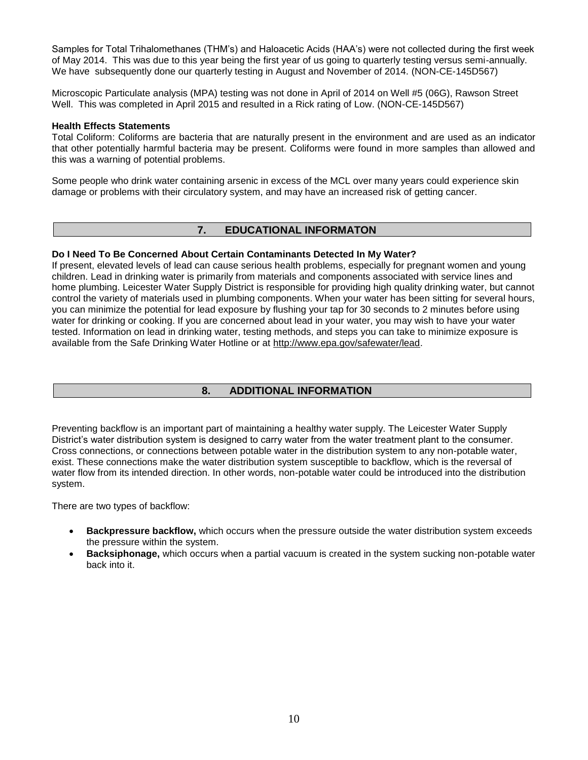Samples for Total Trihalomethanes (THM's) and Haloacetic Acids (HAA's) were not collected during the first week of May 2014. This was due to this year being the first year of us going to quarterly testing versus semi-annually. We have subsequently done our quarterly testing in August and November of 2014. (NON-CE-145D567)

Microscopic Particulate analysis (MPA) testing was not done in April of 2014 on Well #5 (06G), Rawson Street Well. This was completed in April 2015 and resulted in a Rick rating of Low. (NON-CE-145D567)

#### **Health Effects Statements**

Total Coliform: Coliforms are bacteria that are naturally present in the environment and are used as an indicator that other potentially harmful bacteria may be present. Coliforms were found in more samples than allowed and this was a warning of potential problems.

Some people who drink water containing arsenic in excess of the MCL over many years could experience skin damage or problems with their circulatory system, and may have an increased risk of getting cancer.

# **7. EDUCATIONAL INFORMATON**

### **Do I Need To Be Concerned About Certain Contaminants Detected In My Water?**

If present, elevated levels of lead can cause serious health problems, especially for pregnant women and young children. Lead in drinking water is primarily from materials and components associated with service lines and home plumbing. Leicester Water Supply District is responsible for providing high quality drinking water, but cannot control the variety of materials used in plumbing components. When your water has been sitting for several hours, you can minimize the potential for lead exposure by flushing your tap for 30 seconds to 2 minutes before using water for drinking or cooking. If you are concerned about lead in your water, you may wish to have your water tested. Information on lead in drinking water, testing methods, and steps you can take to minimize exposure is available from the Safe Drinking Water Hotline or at [http://www.epa.gov/safewater/lead.](http://www.epa.gov/safewater/lead)

# **8. ADDITIONAL INFORMATION**

Preventing backflow is an important part of maintaining a healthy water supply. The Leicester Water Supply District's water distribution system is designed to carry water from the water treatment plant to the consumer. Cross connections, or connections between potable water in the distribution system to any non-potable water, exist. These connections make the water distribution system susceptible to backflow, which is the reversal of water flow from its intended direction. In other words, non-potable water could be introduced into the distribution system.

There are two types of backflow:

- **Backpressure backflow,** which occurs when the pressure outside the water distribution system exceeds the pressure within the system.
- **Backsiphonage,** which occurs when a partial vacuum is created in the system sucking non-potable water back into it.